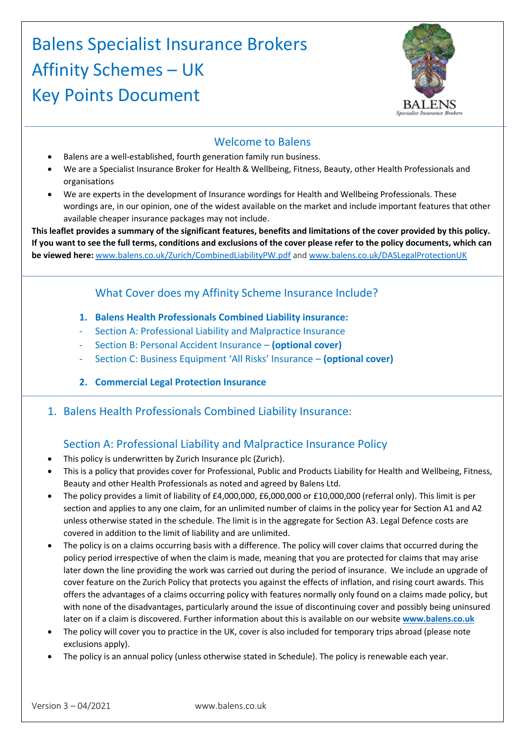# Balens Specialist Insurance Brokers Affinity Schemes – UK Key Points Document



### Welcome to Balens

- Balens are a well-established, fourth generation family run business.
- We are a Specialist Insurance Broker for Health & Wellbeing, Fitness, Beauty, other Health Professionals and organisations
- We are experts in the development of Insurance wordings for Health and Wellbeing Professionals. These wordings are, in our opinion, one of the widest available on the market and include important features that other available cheaper insurance packages may not include.

**This leaflet provides a summary of the significant features, benefits and limitations of the cover provided by this policy. If you want to see the full terms, conditions and exclusions of the cover please refer to the policy documents, which can be viewed here:** [www.balens.co.uk/Zurich/CombinedLiabilityPW.pdf](http://www.balens.co.uk/Zurich/CombinedLiabilityPW.pdf) and [www.balens.co.uk/DASLegalProtectionUK](http://www.balens.co.uk/DASLegalProtectionUK)

# What Cover does my Affinity Scheme Insurance Include?

- **1. Balens Health Professionals Combined Liability insurance:**
- Section A: Professional Liability and Malpractice Insurance
- Section B: Personal Accident Insurance **(optional cover)**
- Section C: Business Equipment 'All Risks' Insurance **(optional cover)**
- **2. Commercial Legal Protection Insurance**
- 1. Balens Health Professionals Combined Liability Insurance:

# Section A: Professional Liability and Malpractice Insurance Policy

- This policy is underwritten by Zurich Insurance plc (Zurich).
- This is a policy that provides cover for Professional, Public and Products Liability for Health and Wellbeing, Fitness, Beauty and other Health Professionals as noted and agreed by Balens Ltd.
- The policy provides a limit of liability of £4,000,000, £6,000,000 or £10,000,000 (referral only). This limit is per section and applies to any one claim, for an unlimited number of claims in the policy year for Section A1 and A2 unless otherwise stated in the schedule. The limit is in the aggregate for Section A3. Legal Defence costs are covered in addition to the limit of liability and are unlimited.
- The policy is on a claims occurring basis with a difference. The policy will cover claims that occurred during the policy period irrespective of when the claim is made, meaning that you are protected for claims that may arise later down the line providing the work was carried out during the period of insurance. We include an upgrade of cover feature on the Zurich Policy that protects you against the effects of inflation, and rising court awards. This offers the advantages of a claims occurring policy with features normally only found on a claims made policy, but with none of the disadvantages, particularly around the issue of discontinuing cover and possibly being uninsured later on if a claim is discovered. Further information about this is available on our website **[www.balens.co.uk](http://www.balens.co.uk/)**
- The policy will cover you to practice in the UK, cover is also included for temporary trips abroad (please note exclusions apply).
- The policy is an annual policy (unless otherwise stated in Schedule). The policy is renewable each year.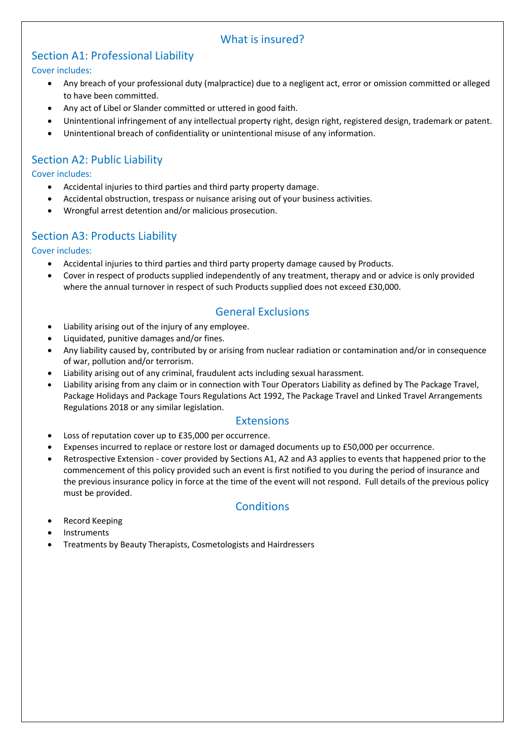### What is insured?

# Section A1: Professional Liability

#### Cover includes:

- Any breach of your professional duty (malpractice) due to a negligent act, error or omission committed or alleged to have been committed.
- Any act of Libel or Slander committed or uttered in good faith.
- Unintentional infringement of any intellectual property right, design right, registered design, trademark or patent.
- Unintentional breach of confidentiality or unintentional misuse of any information.

# Section A2: Public Liability

### Cover includes:

- Accidental injuries to third parties and third party property damage.
- Accidental obstruction, trespass or nuisance arising out of your business activities.
- Wrongful arrest detention and/or malicious prosecution.

### Section A3: Products Liability

#### Cover includes:

- Accidental injuries to third parties and third party property damage caused by Products.
- Cover in respect of products supplied independently of any treatment, therapy and or advice is only provided where the annual turnover in respect of such Products supplied does not exceed £30,000.

### General Exclusions

- Liability arising out of the injury of any employee.
- Liquidated, punitive damages and/or fines.
- Any liability caused by, contributed by or arising from nuclear radiation or contamination and/or in consequence of war, pollution and/or terrorism.
- Liability arising out of any criminal, fraudulent acts including sexual harassment.
- Liability arising from any claim or in connection with Tour Operators Liability as defined by The Package Travel, Package Holidays and Package Tours Regulations Act 1992, The Package Travel and Linked Travel Arrangements Regulations 2018 or any similar legislation.

### **Extensions**

- Loss of reputation cover up to £35,000 per occurrence.
- Expenses incurred to replace or restore lost or damaged documents up to £50,000 per occurrence.
- Retrospective Extension cover provided by Sections A1, A2 and A3 applies to events that happened prior to the commencement of this policy provided such an event is first notified to you during the period of insurance and the previous insurance policy in force at the time of the event will not respond. Full details of the previous policy must be provided.

### **Conditions**

- Record Keeping
- Instruments
- Treatments by Beauty Therapists, Cosmetologists and Hairdressers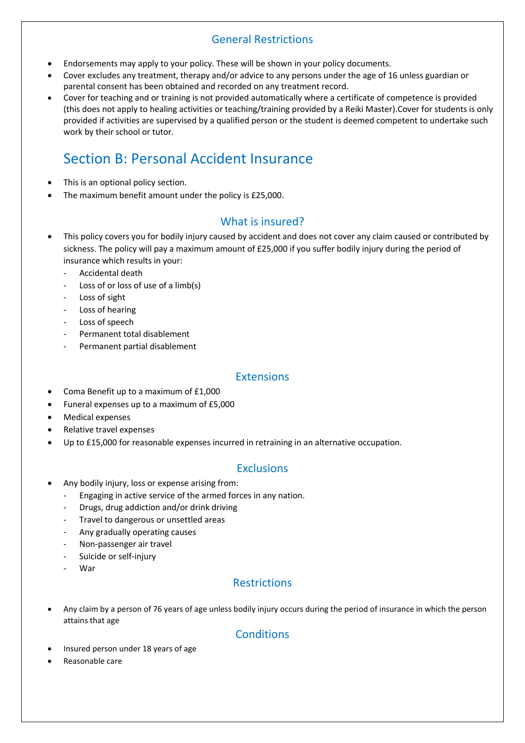# General Restrictions

- Endorsements may apply to your policy. These will be shown in your policy documents.
- Cover excludes any treatment, therapy and/or advice to any persons under the age of 16 unless guardian or parental consent has been obtained and recorded on any treatment record.
- Cover for teaching and or training is not provided automatically where a certificate of competence is provided (this does not apply to healing activities or teaching/training provided by a Reiki Master).Cover for students is only provided if activities are supervised by a qualified person or the student is deemed competent to undertake such work by their school or tutor.

# Section B: Personal Accident Insurance

- This is an optional policy section.
- The maximum benefit amount under the policy is £25,000.

### What is insured?

- This policy covers you for bodily injury caused by accident and does not cover any claim caused or contributed by sickness. The policy will pay a maximum amount of £25,000 if you suffer bodily injury during the period of insurance which results in your:
	- Accidental death
	- Loss of or loss of use of a limb(s)
	- Loss of sight
	- Loss of hearing
	- Loss of speech
	- Permanent total disablement
	- Permanent partial disablement

### Extensions

- Coma Benefit up to a maximum of £1,000
- Funeral expenses up to a maximum of £5,000
- Medical expenses
- Relative travel expenses
- Up to £15,000 for reasonable expenses incurred in retraining in an alternative occupation.

### **Exclusions**

- Any bodily injury, loss or expense arising from:
	- Engaging in active service of the armed forces in any nation.
	- Drugs, drug addiction and/or drink driving
	- Travel to dangerous or unsettled areas
	- Any gradually operating causes
	- Non-passenger air travel
	- Suicide or self-injury
	- War

# **Restrictions**

 Any claim by a person of 76 years of age unless bodily injury occurs during the period of insurance in which the person attains that age

### **Conditions**

- Insured person under 18 years of age
- Reasonable care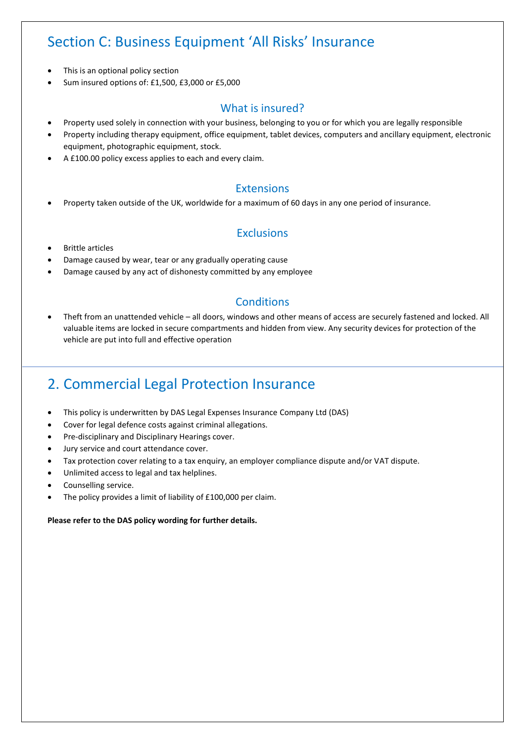# Section C: Business Equipment 'All Risks' Insurance

- This is an optional policy section
- Sum insured options of: £1,500, £3,000 or £5,000

### What is insured?

- Property used solely in connection with your business, belonging to you or for which you are legally responsible
- Property including therapy equipment, office equipment, tablet devices, computers and ancillary equipment, electronic equipment, photographic equipment, stock.
- A £100.00 policy excess applies to each and every claim.

### Extensions

Property taken outside of the UK, worldwide for a maximum of 60 days in any one period of insurance.

### **Exclusions**

- Brittle articles
- Damage caused by wear, tear or any gradually operating cause
- Damage caused by any act of dishonesty committed by any employee

### **Conditions**

 Theft from an unattended vehicle – all doors, windows and other means of access are securely fastened and locked. All valuable items are locked in secure compartments and hidden from view. Any security devices for protection of the vehicle are put into full and effective operation

# 2. Commercial Legal Protection Insurance

- This policy is underwritten by DAS Legal Expenses Insurance Company Ltd (DAS)
- Cover for legal defence costs against criminal allegations.
- Pre-disciplinary and Disciplinary Hearings cover.
- Jury service and court attendance cover.
- Tax protection cover relating to a tax enquiry, an employer compliance dispute and/or VAT dispute.
- Unlimited access to legal and tax helplines.
- Counselling service.
- The policy provides a limit of liability of £100,000 per claim.

#### **Please refer to the DAS policy wording for further details.**